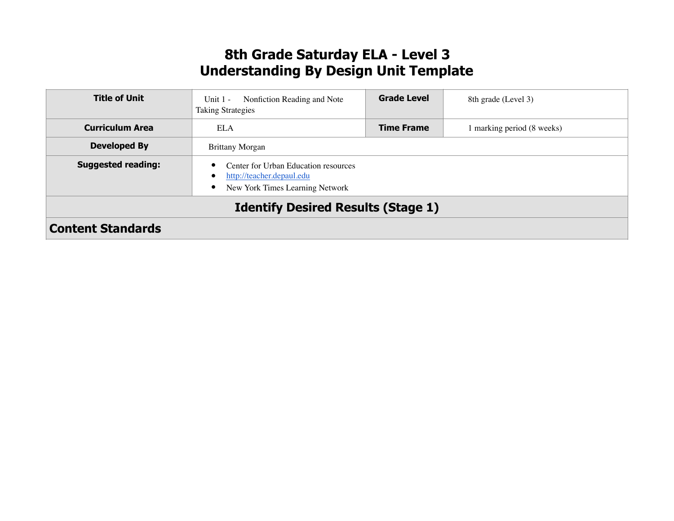### **8th Grade Saturday ELA - Level 3 Understanding By Design Unit Template**

| <b>Title of Unit</b>                      | Nonfiction Reading and Note<br>Unit $1 -$<br><b>Taking Strategies</b>                                                               | <b>Grade Level</b> | 8th grade (Level 3)      |
|-------------------------------------------|-------------------------------------------------------------------------------------------------------------------------------------|--------------------|--------------------------|
| <b>Curriculum Area</b>                    | <b>ELA</b>                                                                                                                          | <b>Time Frame</b>  | marking period (8 weeks) |
| <b>Developed By</b>                       | <b>Brittany Morgan</b>                                                                                                              |                    |                          |
| <b>Suggested reading:</b>                 | Center for Urban Education resources<br>٠<br>http://teacher.depaul.edu<br>$\bullet$<br>New York Times Learning Network<br>$\bullet$ |                    |                          |
| <b>Identify Desired Results (Stage 1)</b> |                                                                                                                                     |                    |                          |
| <b>Content Standards</b>                  |                                                                                                                                     |                    |                          |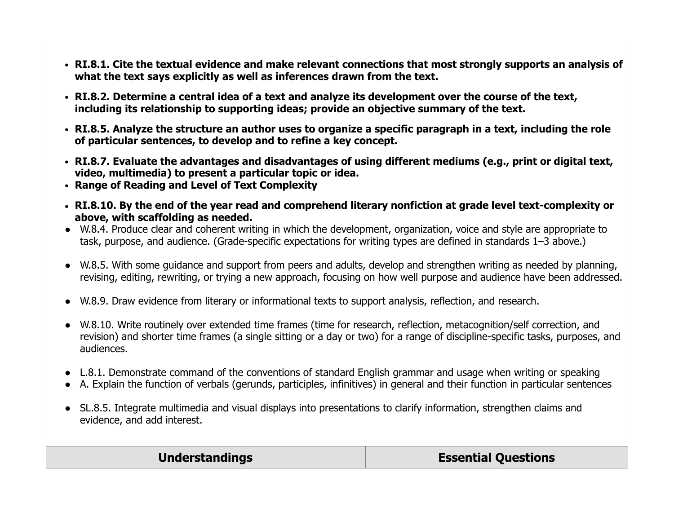- **● RI.8.1. Cite the textual evidence and make relevant connections that most strongly supports an analysis of what the text says explicitly as well as inferences drawn from the text.**
- **● RI.8.2. Determine a central idea of a text and analyze its development over the course of the text, including its relationship to supporting ideas; provide an objective summary of the text.**
- **● RI.8.5. Analyze the structure an author uses to organize a specific paragraph in a text, including the role of particular sentences, to develop and to refine a key concept.**
- **● RI.8.7. Evaluate the advantages and disadvantages of using different mediums (e.g., print or digital text, video, multimedia) to present a particular topic or idea.**
- **● Range of Reading and Level of Text Complexity**
- **● RI.8.10. By the end of the year read and comprehend literary nonfiction at grade level text-complexity or above, with scaffolding as needed.**
- **●** W.8.4. Produce clear and coherent writing in which the development, organization, voice and style are appropriate to task, purpose, and audience. (Grade-specific expectations for writing types are defined in standards 1–3 above.)
- **●** W.8.5. With some guidance and support from peers and adults, develop and strengthen writing as needed by planning, revising, editing, rewriting, or trying a new approach, focusing on how well purpose and audience have been addressed.
- **●** W.8.9. Draw evidence from literary or informational texts to support analysis, reflection, and research.
- **●** W.8.10. Write routinely over extended time frames (time for research, reflection, metacognition/self correction, and revision) and shorter time frames (a single sitting or a day or two) for a range of discipline-specific tasks, purposes, and audiences.
- L.8.1. Demonstrate command of the conventions of standard English grammar and usage when writing or speaking
- A. Explain the function of verbals (gerunds, participles, infinitives) in general and their function in particular sentences
- SL.8.5. Integrate multimedia and visual displays into presentations to clarify information, strengthen claims and evidence, and add interest.

**Understandings Essential Questions**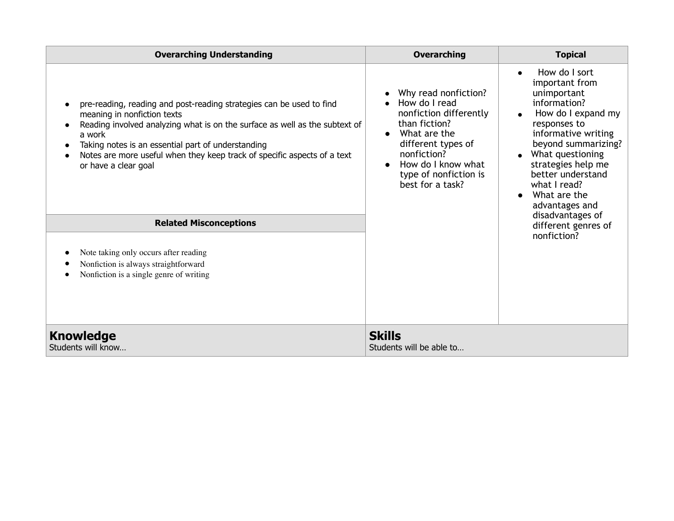| <b>Overarching Understanding</b>                                                                                                                                                                                                                                                                                                                                    | <b>Overarching</b>                                                                                                                                                                                                    | <b>Topical</b>                                                                                                                                                                                                                                                                   |
|---------------------------------------------------------------------------------------------------------------------------------------------------------------------------------------------------------------------------------------------------------------------------------------------------------------------------------------------------------------------|-----------------------------------------------------------------------------------------------------------------------------------------------------------------------------------------------------------------------|----------------------------------------------------------------------------------------------------------------------------------------------------------------------------------------------------------------------------------------------------------------------------------|
| pre-reading, reading and post-reading strategies can be used to find<br>meaning in nonfiction texts<br>Reading involved analyzing what is on the surface as well as the subtext of<br>$\bullet$<br>a work<br>Taking notes is an essential part of understanding<br>Notes are more useful when they keep track of specific aspects of a text<br>or have a clear goal | Why read nonfiction?<br>How do I read<br>nonfiction differently<br>than fiction?<br>What are the<br>$\bullet$<br>different types of<br>nonfiction?<br>How do I know what<br>type of nonfiction is<br>best for a task? | How do I sort<br>$\bullet$<br>important from<br>unimportant<br>information?<br>How do I expand my<br>responses to<br>informative writing<br>beyond summarizing?<br>What questioning<br>strategies help me<br>better understand<br>what I read?<br>What are the<br>advantages and |
| <b>Related Misconceptions</b>                                                                                                                                                                                                                                                                                                                                       |                                                                                                                                                                                                                       | disadvantages of<br>different genres of                                                                                                                                                                                                                                          |
| Note taking only occurs after reading<br>Nonfiction is always straightforward<br>Nonfiction is a single genre of writing                                                                                                                                                                                                                                            |                                                                                                                                                                                                                       | nonfiction?                                                                                                                                                                                                                                                                      |
| <b>Knowledge</b><br>Students will know                                                                                                                                                                                                                                                                                                                              | <b>Skills</b><br>Students will be able to                                                                                                                                                                             |                                                                                                                                                                                                                                                                                  |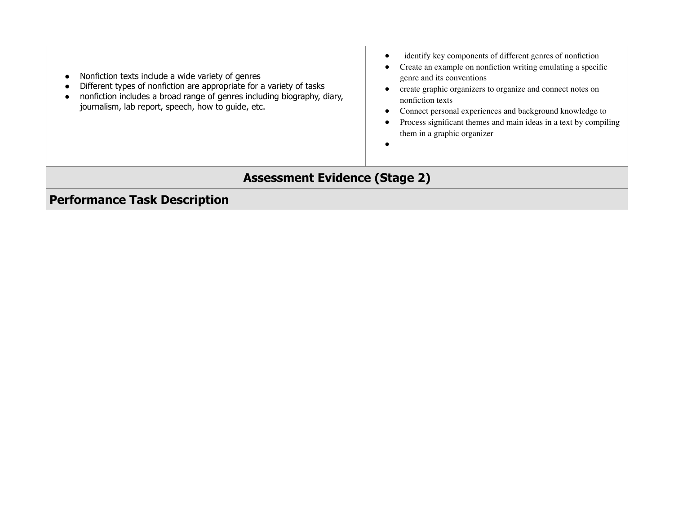| Nonfiction texts include a wide variety of genres<br>Different types of nonfiction are appropriate for a variety of tasks<br>nonfiction includes a broad range of genres including biography, diary,<br>journalism, lab report, speech, how to guide, etc. | identify key components of different genres of nonfiction<br>Create an example on nonfiction writing emulating a specific<br>genre and its conventions<br>create graphic organizers to organize and connect notes on<br>nonfiction texts<br>Connect personal experiences and background knowledge to<br>Process significant themes and main ideas in a text by compiling<br>them in a graphic organizer |  |  |  |
|------------------------------------------------------------------------------------------------------------------------------------------------------------------------------------------------------------------------------------------------------------|---------------------------------------------------------------------------------------------------------------------------------------------------------------------------------------------------------------------------------------------------------------------------------------------------------------------------------------------------------------------------------------------------------|--|--|--|
| <b>Assessment Evidence (Stage 2)</b>                                                                                                                                                                                                                       |                                                                                                                                                                                                                                                                                                                                                                                                         |  |  |  |
| <b>Performance Task Description</b>                                                                                                                                                                                                                        |                                                                                                                                                                                                                                                                                                                                                                                                         |  |  |  |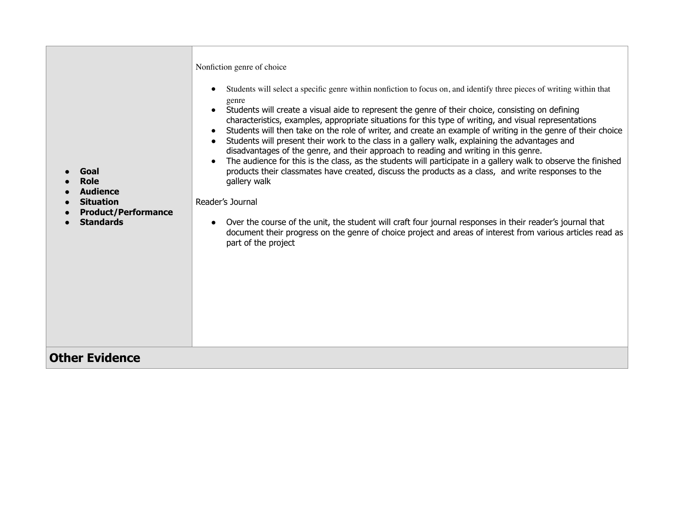| Nonfiction genre of choice<br>Students will select a specific genre within nonfiction to focus on, and identify three pieces of writing within that<br>genre<br>Students will create a visual aide to represent the genre of their choice, consisting on defining<br>characteristics, examples, appropriate situations for this type of writing, and visual representations<br>Students will then take on the role of writer, and create an example of writing in the genre of their choice<br>Students will present their work to the class in a gallery walk, explaining the advantages and<br>disadvantages of the genre, and their approach to reading and writing in this genre.<br>The audience for this is the class, as the students will participate in a gallery walk to observe the finished<br>products their classmates have created, discuss the products as a class, and write responses to the<br>Goal<br>gallery walk<br><b>Role</b><br><b>Audience</b><br>Reader's Journal<br><b>Situation</b><br><b>Product/Performance</b><br><b>Standards</b><br>Over the course of the unit, the student will craft four journal responses in their reader's journal that<br>document their progress on the genre of choice project and areas of interest from various articles read as<br>part of the project |
|----------------------------------------------------------------------------------------------------------------------------------------------------------------------------------------------------------------------------------------------------------------------------------------------------------------------------------------------------------------------------------------------------------------------------------------------------------------------------------------------------------------------------------------------------------------------------------------------------------------------------------------------------------------------------------------------------------------------------------------------------------------------------------------------------------------------------------------------------------------------------------------------------------------------------------------------------------------------------------------------------------------------------------------------------------------------------------------------------------------------------------------------------------------------------------------------------------------------------------------------------------------------------------------------------------------------|
| <b>Other Evidence</b>                                                                                                                                                                                                                                                                                                                                                                                                                                                                                                                                                                                                                                                                                                                                                                                                                                                                                                                                                                                                                                                                                                                                                                                                                                                                                                |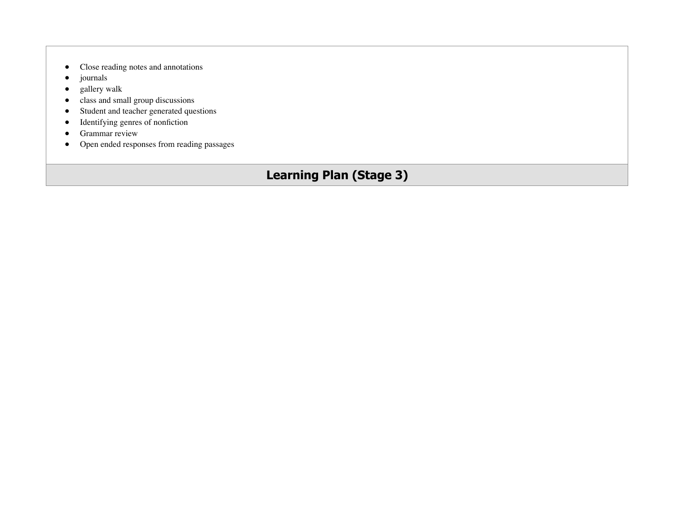- Close reading notes and annotations
- journals
- gallery walk
- class and small group discussions
- Student and teacher generated questions
- Identifying genres of nonfiction
- Grammar review
- Open ended responses from reading passages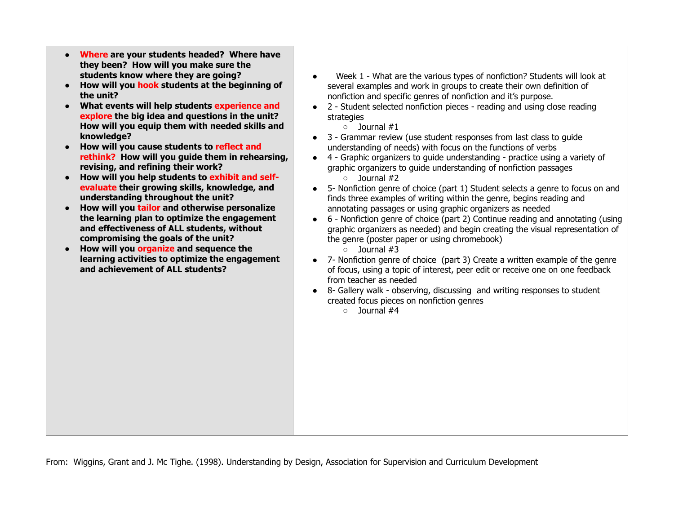- **Where are your students headed? Where have they been? How will you make sure the students know where they are going?**
- **How will you hook students at the beginning of the unit?**
- **What events will help students experience and explore the big idea and questions in the unit? How will you equip them with needed skills and knowledge?**
- **How will you cause students to reflect and rethink? How will you guide them in rehearsing, revising, and refining their work?**
- **How will you help students to exhibit and selfevaluate their growing skills, knowledge, and understanding throughout the unit?**
- **How will you tailor and otherwise personalize the learning plan to optimize the engagement and effectiveness of ALL students, without compromising the goals of the unit?**
- **How will you organize and sequence the learning activities to optimize the engagement and achievement of ALL students?**
- Week 1 What are the various types of nonfiction? Students will look at several examples and work in groups to create their own definition of nonfiction and specific genres of nonfiction and it's purpose.
- 2 Student selected nonfiction pieces reading and using close reading strategies
	- Journal #1
- 3 Grammar review (use student responses from last class to guide understanding of needs) with focus on the functions of verbs
- 4 Graphic organizers to guide understanding practice using a variety of graphic organizers to guide understanding of nonfiction passages ○ Journal #2
- 5- Nonfiction genre of choice (part 1) Student selects a genre to focus on and finds three examples of writing within the genre, begins reading and annotating passages or using graphic organizers as needed
- 6 Nonfiction genre of choice (part 2) Continue reading and annotating (using graphic organizers as needed) and begin creating the visual representation of the genre (poster paper or using chromebook)
	- Journal #3
- 7- Nonfiction genre of choice (part 3) Create a written example of the genre of focus, using a topic of interest, peer edit or receive one on one feedback from teacher as needed
- 8- Gallery walk observing, discussing and writing responses to student created focus pieces on nonfiction genres
	- $\circ$  lournal  $\#4$

From: Wiggins, Grant and J. Mc Tighe. (1998). Understanding by Design, Association for Supervision and Curriculum Development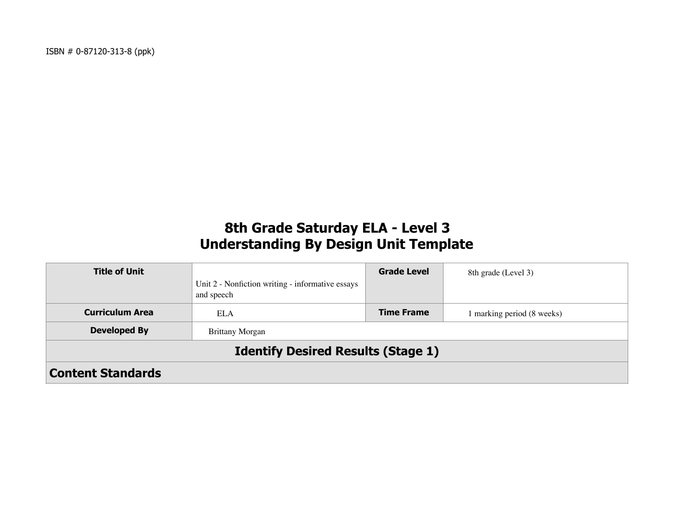# **8th Grade Saturday ELA - Level 3 Understanding By Design Unit Template**

| <b>Title of Unit</b>                      | Unit 2 - Nonfiction writing - informative essays<br>and speech | <b>Grade Level</b> | 8th grade (Level 3)      |  |
|-------------------------------------------|----------------------------------------------------------------|--------------------|--------------------------|--|
| <b>Curriculum Area</b>                    | <b>ELA</b>                                                     | <b>Time Frame</b>  | marking period (8 weeks) |  |
| <b>Developed By</b>                       | <b>Brittany Morgan</b>                                         |                    |                          |  |
| <b>Identify Desired Results (Stage 1)</b> |                                                                |                    |                          |  |
| <b>Content Standards</b>                  |                                                                |                    |                          |  |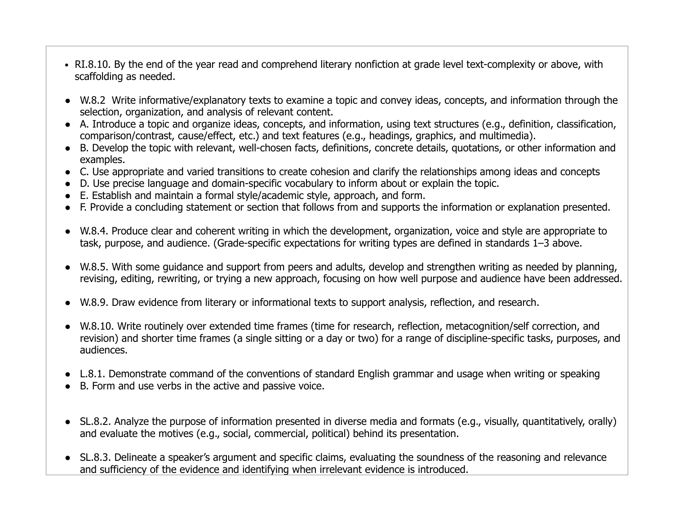- RI.8.10. By the end of the year read and comprehend literary nonfiction at grade level text-complexity or above, with scaffolding as needed.
- W.8.2 Write informative/explanatory texts to examine a topic and convey ideas, concepts, and information through the selection, organization, and analysis of relevant content.
- A. Introduce a topic and organize ideas, concepts, and information, using text structures (e.g., definition, classification, comparison/contrast, cause/effect, etc.) and text features (e.g., headings, graphics, and multimedia).
- B. Develop the topic with relevant, well-chosen facts, definitions, concrete details, quotations, or other information and examples.
- C. Use appropriate and varied transitions to create cohesion and clarify the relationships among ideas and concepts
- D. Use precise language and domain-specific vocabulary to inform about or explain the topic.
- E. Establish and maintain a formal style/academic style, approach, and form.
- F. Provide a concluding statement or section that follows from and supports the information or explanation presented.
- W.8.4. Produce clear and coherent writing in which the development, organization, voice and style are appropriate to task, purpose, and audience. (Grade-specific expectations for writing types are defined in standards 1–3 above.
- W.8.5. With some guidance and support from peers and adults, develop and strengthen writing as needed by planning, revising, editing, rewriting, or trying a new approach, focusing on how well purpose and audience have been addressed.
- W.8.9. Draw evidence from literary or informational texts to support analysis, reflection, and research.
- W.8.10. Write routinely over extended time frames (time for research, reflection, metacognition/self correction, and revision) and shorter time frames (a single sitting or a day or two) for a range of discipline-specific tasks, purposes, and audiences.
- L.8.1. Demonstrate command of the conventions of standard English grammar and usage when writing or speaking
- B. Form and use verbs in the active and passive voice.
- SL.8.2. Analyze the purpose of information presented in diverse media and formats (e.g., visually, quantitatively, orally) and evaluate the motives (e.g., social, commercial, political) behind its presentation.
- SL.8.3. Delineate a speaker's argument and specific claims, evaluating the soundness of the reasoning and relevance and sufficiency of the evidence and identifying when irrelevant evidence is introduced.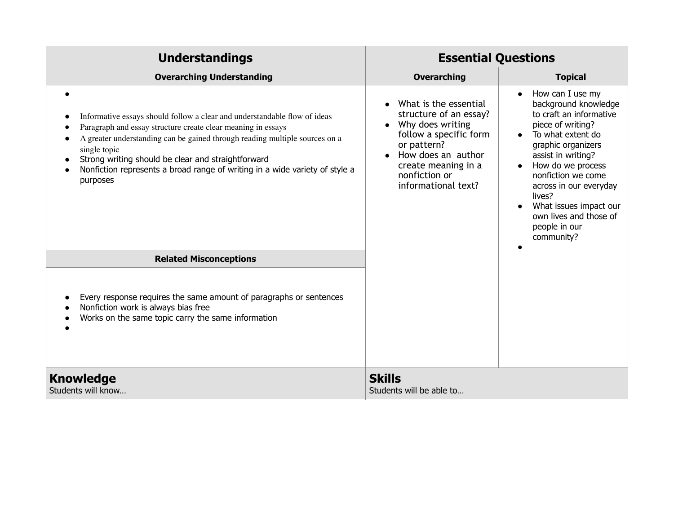| <b>Understandings</b>                                                                                                                                                                                                                                                                                                                                                                                  | <b>Essential Questions</b>                                                                                                                                                                        |                                                                                                                                                                                                                                                                                                                                          |
|--------------------------------------------------------------------------------------------------------------------------------------------------------------------------------------------------------------------------------------------------------------------------------------------------------------------------------------------------------------------------------------------------------|---------------------------------------------------------------------------------------------------------------------------------------------------------------------------------------------------|------------------------------------------------------------------------------------------------------------------------------------------------------------------------------------------------------------------------------------------------------------------------------------------------------------------------------------------|
| <b>Overarching Understanding</b>                                                                                                                                                                                                                                                                                                                                                                       | <b>Overarching</b>                                                                                                                                                                                | <b>Topical</b>                                                                                                                                                                                                                                                                                                                           |
| Informative essays should follow a clear and understandable flow of ideas<br>$\bullet$<br>Paragraph and essay structure create clear meaning in essays<br>A greater understanding can be gained through reading multiple sources on a<br>single topic<br>Strong writing should be clear and straightforward<br>Nonfiction represents a broad range of writing in a wide variety of style a<br>purposes | What is the essential<br>structure of an essay?<br>Why does writing<br>follow a specific form<br>or pattern?<br>How does an author<br>create meaning in a<br>nonfiction or<br>informational text? | How can I use my<br>background knowledge<br>to craft an informative<br>piece of writing?<br>To what extent do<br>graphic organizers<br>assist in writing?<br>How do we process<br>$\bullet$<br>nonfiction we come<br>across in our everyday<br>lives?<br>What issues impact our<br>own lives and those of<br>people in our<br>community? |
| <b>Related Misconceptions</b>                                                                                                                                                                                                                                                                                                                                                                          |                                                                                                                                                                                                   |                                                                                                                                                                                                                                                                                                                                          |
| Every response requires the same amount of paragraphs or sentences<br>Nonfiction work is always bias free<br>Works on the same topic carry the same information                                                                                                                                                                                                                                        |                                                                                                                                                                                                   |                                                                                                                                                                                                                                                                                                                                          |
| <b>Knowledge</b><br>Students will know                                                                                                                                                                                                                                                                                                                                                                 | <b>Skills</b><br>Students will be able to                                                                                                                                                         |                                                                                                                                                                                                                                                                                                                                          |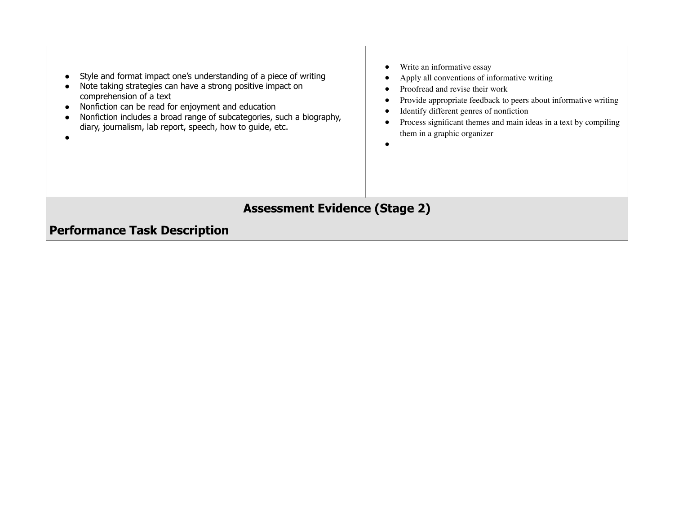| Style and format impact one's understanding of a piece of writing<br>Note taking strategies can have a strong positive impact on<br>comprehension of a text<br>Nonfiction can be read for enjoyment and education<br>$\bullet$<br>Nonfiction includes a broad range of subcategories, such a biography,<br>diary, journalism, lab report, speech, how to guide, etc. | Write an informative essay<br>Apply all conventions of informative writing<br>Proofread and revise their work<br>Provide appropriate feedback to peers about informative writing<br>Identify different genres of nonfiction<br>Process significant themes and main ideas in a text by compiling<br>them in a graphic organizer |  |  |  |
|----------------------------------------------------------------------------------------------------------------------------------------------------------------------------------------------------------------------------------------------------------------------------------------------------------------------------------------------------------------------|--------------------------------------------------------------------------------------------------------------------------------------------------------------------------------------------------------------------------------------------------------------------------------------------------------------------------------|--|--|--|
| <b>Assessment Evidence (Stage 2)</b>                                                                                                                                                                                                                                                                                                                                 |                                                                                                                                                                                                                                                                                                                                |  |  |  |
| <b>Performance Task Description</b>                                                                                                                                                                                                                                                                                                                                  |                                                                                                                                                                                                                                                                                                                                |  |  |  |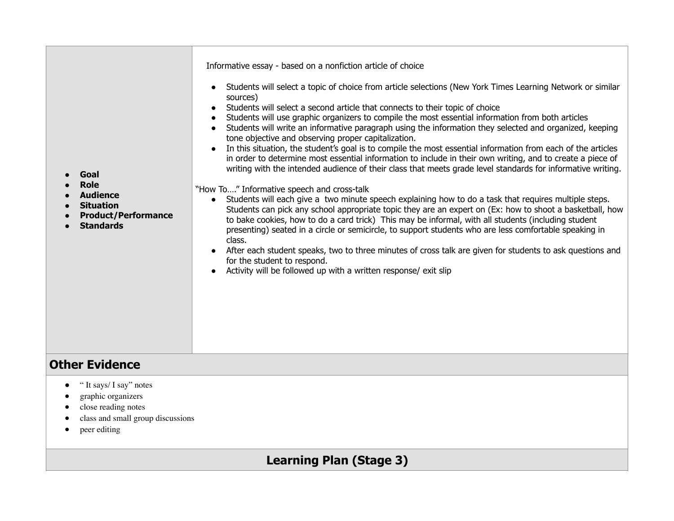| Goal<br><b>Role</b><br><b>Audience</b><br><b>Situation</b><br><b>Product/Performance</b><br><b>Standards</b> | Informative essay - based on a nonfiction article of choice<br>Students will select a topic of choice from article selections (New York Times Learning Network or similar<br>$\bullet$<br>sources)<br>Students will select a second article that connects to their topic of choice<br>Students will use graphic organizers to compile the most essential information from both articles<br>$\bullet$<br>Students will write an informative paragraph using the information they selected and organized, keeping<br>tone objective and observing proper capitalization.<br>In this situation, the student's goal is to compile the most essential information from each of the articles<br>$\bullet$<br>in order to determine most essential information to include in their own writing, and to create a piece of<br>writing with the intended audience of their class that meets grade level standards for informative writing.<br>"How To" Informative speech and cross-talk<br>Students will each give a two minute speech explaining how to do a task that requires multiple steps.<br>$\bullet$<br>Students can pick any school appropriate topic they are an expert on (Ex: how to shoot a basketball, how<br>to bake cookies, how to do a card trick) This may be informal, with all students (including student<br>presenting) seated in a circle or semicircle, to support students who are less comfortable speaking in<br>class.<br>After each student speaks, two to three minutes of cross talk are given for students to ask questions and<br>for the student to respond.<br>Activity will be followed up with a written response/ exit slip |
|--------------------------------------------------------------------------------------------------------------|------------------------------------------------------------------------------------------------------------------------------------------------------------------------------------------------------------------------------------------------------------------------------------------------------------------------------------------------------------------------------------------------------------------------------------------------------------------------------------------------------------------------------------------------------------------------------------------------------------------------------------------------------------------------------------------------------------------------------------------------------------------------------------------------------------------------------------------------------------------------------------------------------------------------------------------------------------------------------------------------------------------------------------------------------------------------------------------------------------------------------------------------------------------------------------------------------------------------------------------------------------------------------------------------------------------------------------------------------------------------------------------------------------------------------------------------------------------------------------------------------------------------------------------------------------------------------------------------------------------------------------------------------------|
|--------------------------------------------------------------------------------------------------------------|------------------------------------------------------------------------------------------------------------------------------------------------------------------------------------------------------------------------------------------------------------------------------------------------------------------------------------------------------------------------------------------------------------------------------------------------------------------------------------------------------------------------------------------------------------------------------------------------------------------------------------------------------------------------------------------------------------------------------------------------------------------------------------------------------------------------------------------------------------------------------------------------------------------------------------------------------------------------------------------------------------------------------------------------------------------------------------------------------------------------------------------------------------------------------------------------------------------------------------------------------------------------------------------------------------------------------------------------------------------------------------------------------------------------------------------------------------------------------------------------------------------------------------------------------------------------------------------------------------------------------------------------------------|

#### **Other Evidence**

- " It says/ I say" notes
- graphic organizers
- close reading notes
- class and small group discussions
- peer editing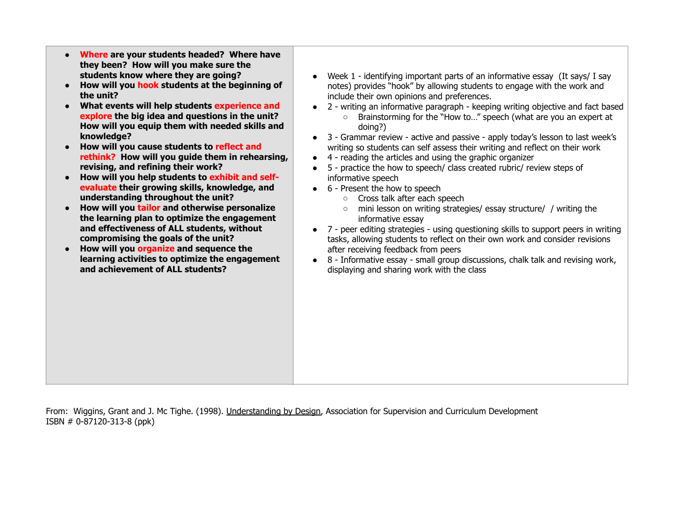- **Where are your students headed? Where have they been? How will you make sure the students know where they are going?**
- **How will you hook students at the beginning of the unit?**
- **What events will help students experience and explore the big idea and questions in the unit? How will you equip them with needed skills and knowledge?**
- **How will you cause students to reflect and rethink? How will you guide them in rehearsing, revising, and refining their work?**
- **How will you help students to exhibit and selfevaluate their growing skills, knowledge, and understanding throughout the unit?**
- **How will you tailor and otherwise personalize the learning plan to optimize the engagement and effectiveness of ALL students, without compromising the goals of the unit?**
- **How will you organize and sequence the learning activities to optimize the engagement and achievement of ALL students?**
- Week 1 identifying important parts of an informative essay (It says/ I say notes) provides "hook" by allowing students to engage with the work and include their own opinions and preferences.
- 2 writing an informative paragraph keeping writing objective and fact based ○ Brainstorming for the "How to…" speech (what are you an expert at doing?)
- 3 Grammar review active and passive apply today's lesson to last week's writing so students can self assess their writing and reflect on their work
- 4 reading the articles and using the graphic organizer
- 5 practice the how to speech/ class created rubric/ review steps of informative speech
- $\bullet$  6 Present the how to speech
	- Cross talk after each speech
	- mini lesson on writing strategies/ essay structure/ / writing the informative essay
- 7 peer editing strategies using questioning skills to support peers in writing tasks, allowing students to reflect on their own work and consider revisions after receiving feedback from peers
- 8 Informative essay small group discussions, chalk talk and revising work, displaying and sharing work with the class

From: Wiggins, Grant and J. Mc Tighe. (1998). Understanding by Design, Association for Supervision and Curriculum Development ISBN # 0-87120-313-8 (ppk)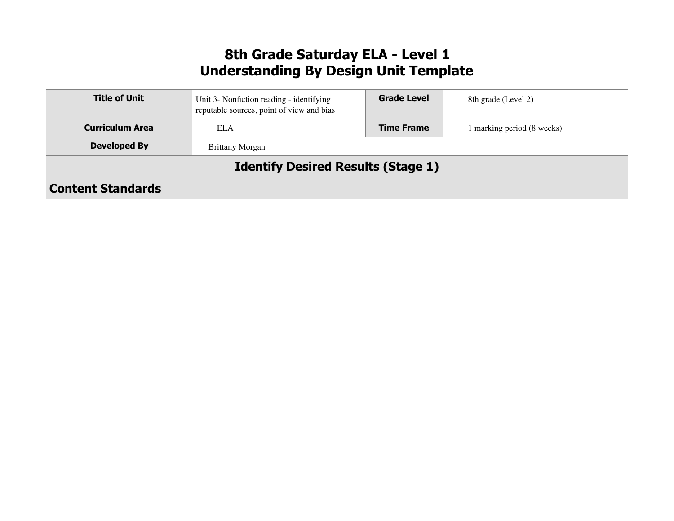# **8th Grade Saturday ELA - Level 1 Understanding By Design Unit Template**

| <b>Title of Unit</b>     | Unit 3- Nonfiction reading - identifying<br>reputable sources, point of view and bias | <b>Grade Level</b> | 8th grade (Level 2)      |
|--------------------------|---------------------------------------------------------------------------------------|--------------------|--------------------------|
| <b>Curriculum Area</b>   | ELA                                                                                   | <b>Time Frame</b>  | marking period (8 weeks) |
| <b>Developed By</b>      | <b>Brittany Morgan</b>                                                                |                    |                          |
|                          | <b>Identify Desired Results (Stage 1)</b>                                             |                    |                          |
| <b>Content Standards</b> |                                                                                       |                    |                          |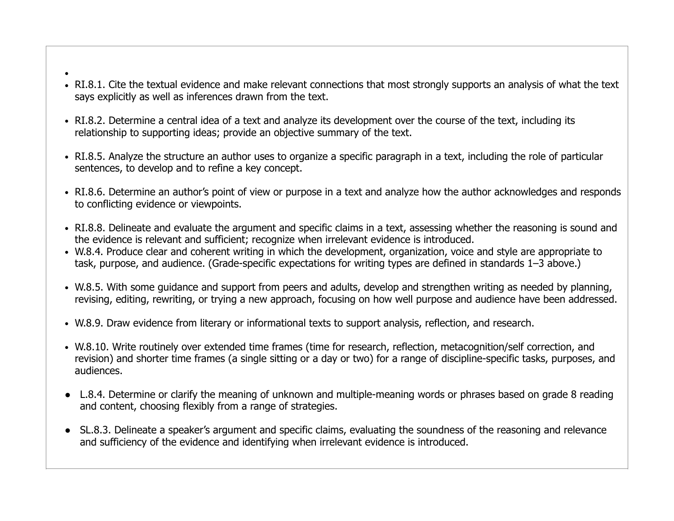- ●
- RI.8.1. Cite the textual evidence and make relevant connections that most strongly supports an analysis of what the text says explicitly as well as inferences drawn from the text.
- RI.8.2. Determine a central idea of a text and analyze its development over the course of the text, including its relationship to supporting ideas; provide an objective summary of the text.
- RI.8.5. Analyze the structure an author uses to organize a specific paragraph in a text, including the role of particular sentences, to develop and to refine a key concept.
- RI.8.6. Determine an author's point of view or purpose in a text and analyze how the author acknowledges and responds to conflicting evidence or viewpoints.
- RI.8.8. Delineate and evaluate the argument and specific claims in a text, assessing whether the reasoning is sound and the evidence is relevant and sufficient; recognize when irrelevant evidence is introduced.
- W.8.4. Produce clear and coherent writing in which the development, organization, voice and style are appropriate to task, purpose, and audience. (Grade-specific expectations for writing types are defined in standards 1–3 above.)
- W.8.5. With some guidance and support from peers and adults, develop and strengthen writing as needed by planning, revising, editing, rewriting, or trying a new approach, focusing on how well purpose and audience have been addressed.
- W.8.9. Draw evidence from literary or informational texts to support analysis, reflection, and research.
- W.8.10. Write routinely over extended time frames (time for research, reflection, metacognition/self correction, and revision) and shorter time frames (a single sitting or a day or two) for a range of discipline-specific tasks, purposes, and audiences.
- L.8.4. Determine or clarify the meaning of unknown and multiple-meaning words or phrases based on grade 8 reading and content, choosing flexibly from a range of strategies.
- SL.8.3. Delineate a speaker's argument and specific claims, evaluating the soundness of the reasoning and relevance and sufficiency of the evidence and identifying when irrelevant evidence is introduced.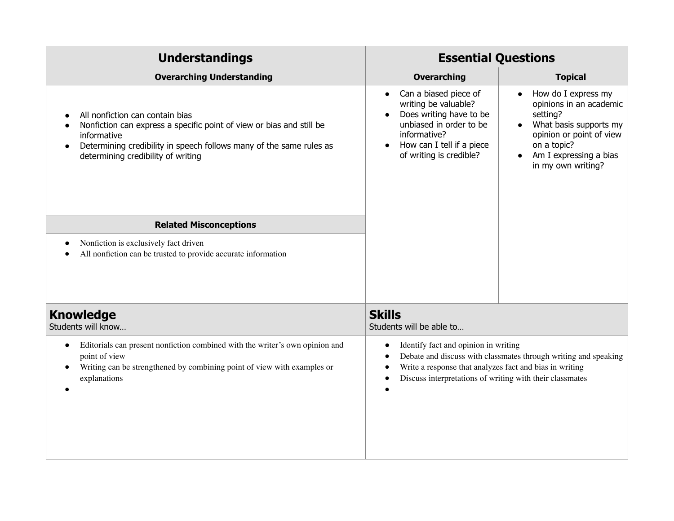| <b>Understandings</b>                                                                                                                                                                                                                            | <b>Essential Questions</b>                                                                                                                                                                                                     |                                                                                                                                                                                                                        |  |
|--------------------------------------------------------------------------------------------------------------------------------------------------------------------------------------------------------------------------------------------------|--------------------------------------------------------------------------------------------------------------------------------------------------------------------------------------------------------------------------------|------------------------------------------------------------------------------------------------------------------------------------------------------------------------------------------------------------------------|--|
| <b>Overarching Understanding</b>                                                                                                                                                                                                                 | <b>Overarching</b><br><b>Topical</b>                                                                                                                                                                                           |                                                                                                                                                                                                                        |  |
| All nonfiction can contain bias<br>Nonfiction can express a specific point of view or bias and still be<br>informative<br>Determining credibility in speech follows many of the same rules as<br>$\bullet$<br>determining credibility of writing | Can a biased piece of<br>$\bullet$<br>writing be valuable?<br>Does writing have to be<br>unbiased in order to be<br>informative?<br>How can I tell if a piece<br>of writing is credible?                                       | How do I express my<br>$\bullet$<br>opinions in an academic<br>setting?<br>What basis supports my<br>$\bullet$<br>opinion or point of view<br>on a topic?<br>Am I expressing a bias<br>$\bullet$<br>in my own writing? |  |
| <b>Related Misconceptions</b>                                                                                                                                                                                                                    |                                                                                                                                                                                                                                |                                                                                                                                                                                                                        |  |
| Nonfiction is exclusively fact driven<br>All nonfiction can be trusted to provide accurate information                                                                                                                                           |                                                                                                                                                                                                                                |                                                                                                                                                                                                                        |  |
| <b>Knowledge</b><br>Students will know                                                                                                                                                                                                           | <b>Skills</b><br>Students will be able to                                                                                                                                                                                      |                                                                                                                                                                                                                        |  |
| Editorials can present nonfiction combined with the writer's own opinion and<br>$\bullet$<br>point of view<br>Writing can be strengthened by combining point of view with examples or<br>٠<br>explanations                                       | Identify fact and opinion in writing<br>Debate and discuss with classmates through writing and speaking<br>Write a response that analyzes fact and bias in writing<br>Discuss interpretations of writing with their classmates |                                                                                                                                                                                                                        |  |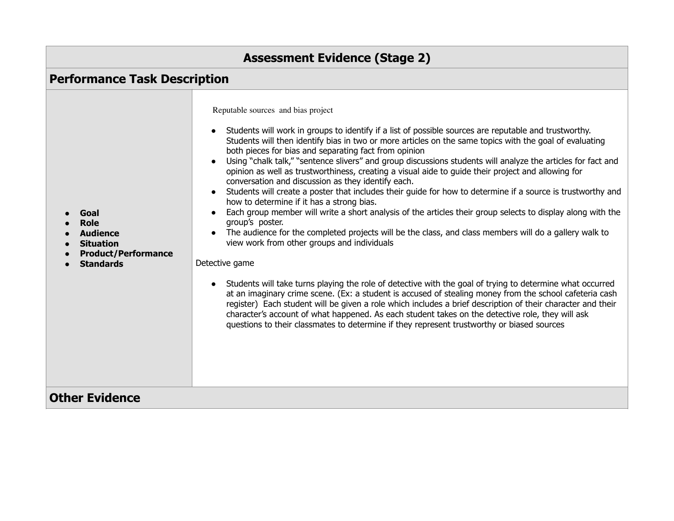| <b>Assessment Evidence (Stage 2)</b>                                                                         |                                                                                                                                                                                                                                                                                                                                                                                                                                                                                                                                                                                                                                                                                                                                                                                                                                                                                                                                                                                                                                                                                                                                                                                                                                                                                                                                                                                                                                                                                                                                                                                                                            |  |  |
|--------------------------------------------------------------------------------------------------------------|----------------------------------------------------------------------------------------------------------------------------------------------------------------------------------------------------------------------------------------------------------------------------------------------------------------------------------------------------------------------------------------------------------------------------------------------------------------------------------------------------------------------------------------------------------------------------------------------------------------------------------------------------------------------------------------------------------------------------------------------------------------------------------------------------------------------------------------------------------------------------------------------------------------------------------------------------------------------------------------------------------------------------------------------------------------------------------------------------------------------------------------------------------------------------------------------------------------------------------------------------------------------------------------------------------------------------------------------------------------------------------------------------------------------------------------------------------------------------------------------------------------------------------------------------------------------------------------------------------------------------|--|--|
| <b>Performance Task Description</b>                                                                          |                                                                                                                                                                                                                                                                                                                                                                                                                                                                                                                                                                                                                                                                                                                                                                                                                                                                                                                                                                                                                                                                                                                                                                                                                                                                                                                                                                                                                                                                                                                                                                                                                            |  |  |
| Goal<br><b>Role</b><br><b>Audience</b><br><b>Situation</b><br><b>Product/Performance</b><br><b>Standards</b> | Reputable sources and bias project<br>Students will work in groups to identify if a list of possible sources are reputable and trustworthy.<br>$\bullet$<br>Students will then identify bias in two or more articles on the same topics with the goal of evaluating<br>both pieces for bias and separating fact from opinion<br>Using "chalk talk," "sentence slivers" and group discussions students will analyze the articles for fact and<br>opinion as well as trustworthiness, creating a visual aide to guide their project and allowing for<br>conversation and discussion as they identify each.<br>Students will create a poster that includes their guide for how to determine if a source is trustworthy and<br>how to determine if it has a strong bias.<br>Each group member will write a short analysis of the articles their group selects to display along with the<br>group's poster.<br>The audience for the completed projects will be the class, and class members will do a gallery walk to<br>view work from other groups and individuals<br>Detective game<br>Students will take turns playing the role of detective with the goal of trying to determine what occurred<br>at an imaginary crime scene. (Ex: a student is accused of stealing money from the school cafeteria cash<br>register) Each student will be given a role which includes a brief description of their character and their<br>character's account of what happened. As each student takes on the detective role, they will ask<br>questions to their classmates to determine if they represent trustworthy or biased sources |  |  |
| <b>Other Evidence</b>                                                                                        |                                                                                                                                                                                                                                                                                                                                                                                                                                                                                                                                                                                                                                                                                                                                                                                                                                                                                                                                                                                                                                                                                                                                                                                                                                                                                                                                                                                                                                                                                                                                                                                                                            |  |  |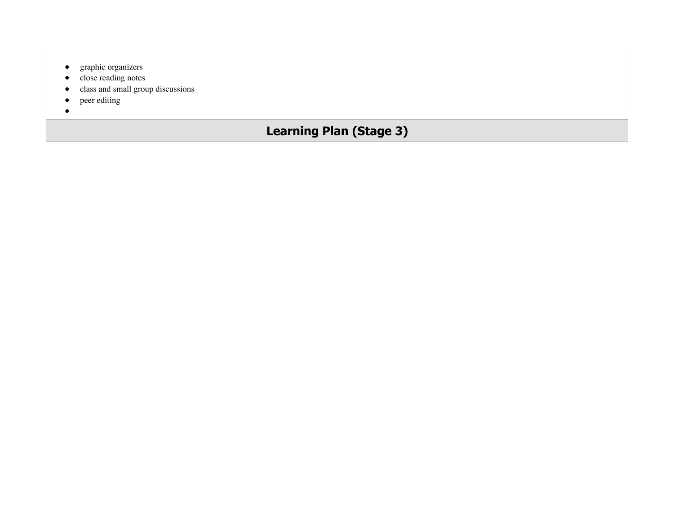- graphic organizers
- close reading notes
- class and small group discussions
- peer editing
- $\bullet$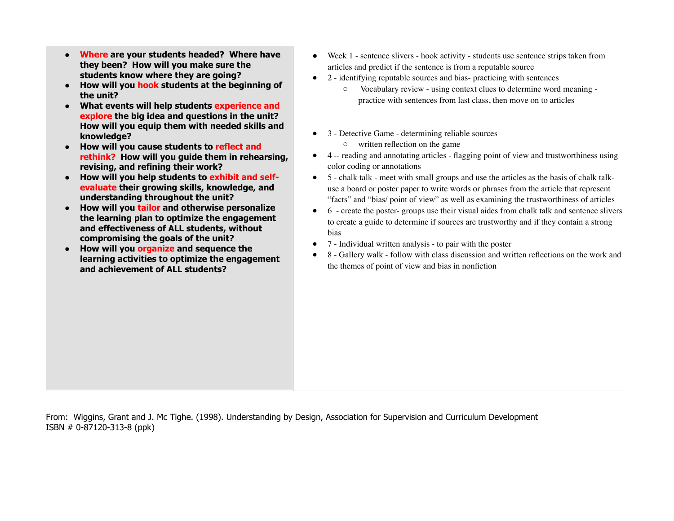- **Where are your students headed? Where have they been? How will you make sure the students know where they are going?**
- **How will you hook students at the beginning of the unit?**
- **What events will help students experience and explore the big idea and questions in the unit? How will you equip them with needed skills and knowledge?**
- **How will you cause students to reflect and rethink? How will you guide them in rehearsing, revising, and refining their work?**
- **How will you help students to exhibit and selfevaluate their growing skills, knowledge, and understanding throughout the unit?**
- **How will you tailor and otherwise personalize the learning plan to optimize the engagement and effectiveness of ALL students, without compromising the goals of the unit?**
- **How will you organize and sequence the learning activities to optimize the engagement and achievement of ALL students?**
- Week 1 sentence slivers hook activity students use sentence strips taken from articles and predict if the sentence is from a reputable source
- 2 identifying reputable sources and bias- practicing with sentences
	- Vocabulary review using context clues to determine word meaning practice with sentences from last class, then move on to articles
- 3 Detective Game determining reliable sources
	- written reflection on the game
- 4 -- reading and annotating articles flagging point of view and trustworthiness using color coding or annotations
- 5 chalk talk meet with small groups and use the articles as the basis of chalk talkuse a board or poster paper to write words or phrases from the article that represent "facts" and "bias/ point of view" as well as examining the trustworthiness of articles
- 6 create the poster- groups use their visual aides from chalk talk and sentence slivers to create a guide to determine if sources are trustworthy and if they contain a strong bias
- 7 Individual written analysis to pair with the poster
- 8 Gallery walk follow with class discussion and written reflections on the work and the themes of point of view and bias in nonfiction

From: Wiggins, Grant and J. Mc Tighe. (1998). Understanding by Design, Association for Supervision and Curriculum Development ISBN # 0-87120-313-8 (ppk)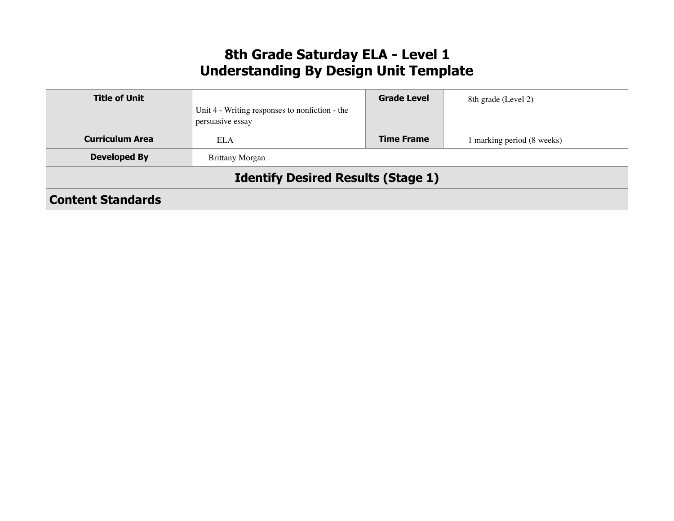# **8th Grade Saturday ELA - Level 1 Understanding By Design Unit Template**

| <b>Title of Unit</b>                      |                                                                    | <b>Grade Level</b> | 8th grade (Level 2)      |  |
|-------------------------------------------|--------------------------------------------------------------------|--------------------|--------------------------|--|
|                                           | Unit 4 - Writing responses to nonfiction - the<br>persuasive essay |                    |                          |  |
| <b>Curriculum Area</b>                    | ELA                                                                | <b>Time Frame</b>  | marking period (8 weeks) |  |
| <b>Developed By</b>                       | <b>Brittany Morgan</b>                                             |                    |                          |  |
| <b>Identify Desired Results (Stage 1)</b> |                                                                    |                    |                          |  |
| <b>Content Standards</b>                  |                                                                    |                    |                          |  |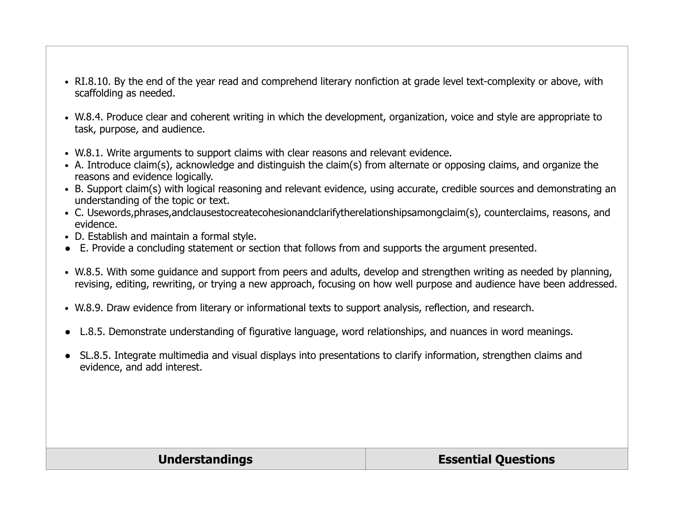- RI.8.10. By the end of the year read and comprehend literary nonfiction at grade level text-complexity or above, with scaffolding as needed.
- W.8.4. Produce clear and coherent writing in which the development, organization, voice and style are appropriate to task, purpose, and audience.
- W.8.1. Write arguments to support claims with clear reasons and relevant evidence.
- A. Introduce claim(s), acknowledge and distinguish the claim(s) from alternate or opposing claims, and organize the reasons and evidence logically.
- B. Support claim(s) with logical reasoning and relevant evidence, using accurate, credible sources and demonstrating an understanding of the topic or text.
- C. Usewords, phrases, and clausestocreate cohesionand clarify the relationshipsamong claim(s), counterclaims, reasons, and evidence.
- D. Establish and maintain a formal style.
- E. Provide a concluding statement or section that follows from and supports the argument presented.
- W.8.5. With some guidance and support from peers and adults, develop and strengthen writing as needed by planning, revising, editing, rewriting, or trying a new approach, focusing on how well purpose and audience have been addressed.
- W.8.9. Draw evidence from literary or informational texts to support analysis, reflection, and research.
- L.8.5. Demonstrate understanding of figurative language, word relationships, and nuances in word meanings.
- SL.8.5. Integrate multimedia and visual displays into presentations to clarify information, strengthen claims and evidence, and add interest.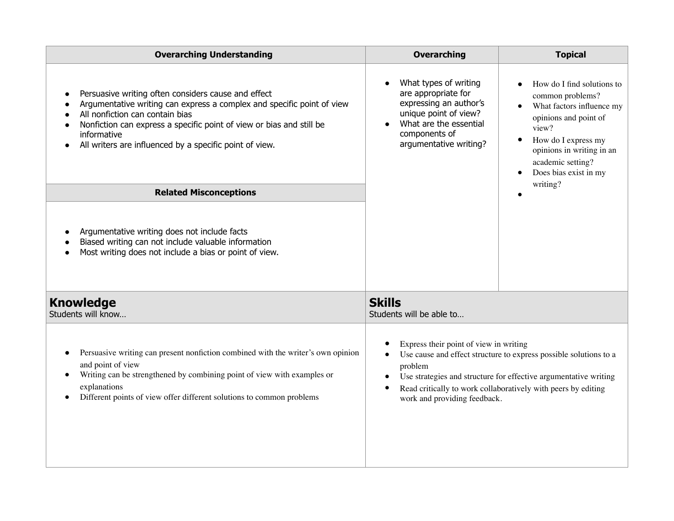| <b>Overarching Understanding</b>                                                                                                                                                                                                                                                                                                | <b>Overarching</b>                                                                                                                                                                                                                                                                                                                 | <b>Topical</b>                                                                                                                                                                                                                                        |
|---------------------------------------------------------------------------------------------------------------------------------------------------------------------------------------------------------------------------------------------------------------------------------------------------------------------------------|------------------------------------------------------------------------------------------------------------------------------------------------------------------------------------------------------------------------------------------------------------------------------------------------------------------------------------|-------------------------------------------------------------------------------------------------------------------------------------------------------------------------------------------------------------------------------------------------------|
| Persuasive writing often considers cause and effect<br>$\bullet$<br>Argumentative writing can express a complex and specific point of view<br>All nonfiction can contain bias<br>Nonfiction can express a specific point of view or bias and still be<br>informative<br>All writers are influenced by a specific point of view. | What types of writing<br>are appropriate for<br>expressing an author's<br>unique point of view?<br>What are the essential<br>components of<br>argumentative writing?                                                                                                                                                               | How do I find solutions to<br>common problems?<br>What factors influence my<br>$\bullet$<br>opinions and point of<br>view?<br>How do I express my<br>$\bullet$<br>opinions in writing in an<br>academic setting?<br>Does bias exist in my<br>writing? |
| <b>Related Misconceptions</b>                                                                                                                                                                                                                                                                                                   |                                                                                                                                                                                                                                                                                                                                    |                                                                                                                                                                                                                                                       |
| Argumentative writing does not include facts<br>Biased writing can not include valuable information<br>Most writing does not include a bias or point of view.                                                                                                                                                                   |                                                                                                                                                                                                                                                                                                                                    |                                                                                                                                                                                                                                                       |
| <b>Knowledge</b><br>Students will know                                                                                                                                                                                                                                                                                          | <b>Skills</b><br>Students will be able to                                                                                                                                                                                                                                                                                          |                                                                                                                                                                                                                                                       |
| Persuasive writing can present nonfiction combined with the writer's own opinion<br>$\bullet$<br>and point of view<br>Writing can be strengthened by combining point of view with examples or<br>$\bullet$<br>explanations<br>Different points of view offer different solutions to common problems                             | Express their point of view in writing<br>Use cause and effect structure to express possible solutions to a<br>$\bullet$<br>problem<br>Use strategies and structure for effective argumentative writing<br>$\bullet$<br>Read critically to work collaboratively with peers by editing<br>$\bullet$<br>work and providing feedback. |                                                                                                                                                                                                                                                       |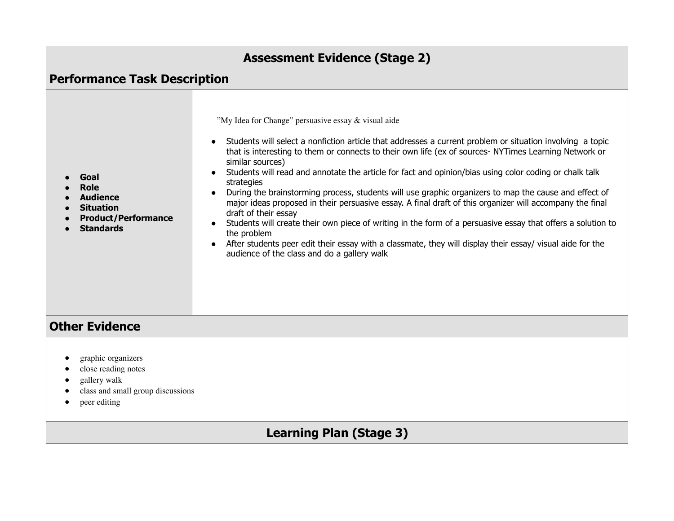| <b>Assessment Evidence (Stage 2)</b><br><b>Performance Task Description</b> |  |  |
|-----------------------------------------------------------------------------|--|--|
|                                                                             |  |  |
| <b>Other Evidence</b>                                                       |  |  |
| graphic organizers                                                          |  |  |

- close reading notes
- gallery walk
- class and small group discussions
- peer editing